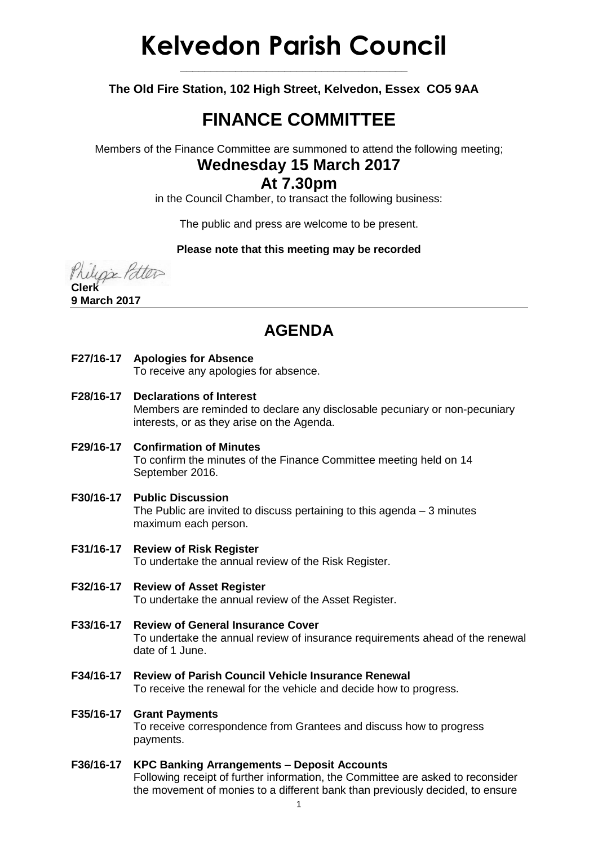# **Kelvedon Parish Council**

**The Old Fire Station, 102 High Street, Kelvedon, Essex CO5 9AA**

**\_\_\_\_\_\_\_\_\_\_\_\_\_\_\_\_\_\_\_\_\_\_\_\_\_\_\_\_\_\_\_\_\_\_\_\_\_**

# **FINANCE COMMITTEE**

Members of the Finance Committee are summoned to attend the following meeting;

## **Wednesday 15 March 2017**

## **At 7.30pm**

in the Council Chamber, to transact the following business:

The public and press are welcome to be present.

#### **Please note that this meeting may be recorded**

line Patter **Clerk**

**9 March 2017**

## **AGENDA**

**F27/16-17 Apologies for Absence**

To receive any apologies for absence.

- **F28/16-17 Declarations of Interest** Members are reminded to declare any disclosable pecuniary or non-pecuniary interests, or as they arise on the Agenda.
- **F29/16-17 Confirmation of Minutes** To confirm the minutes of the Finance Committee meeting held on 14 September 2016.
- **F30/16-17 Public Discussion** The Public are invited to discuss pertaining to this agenda – 3 minutes maximum each person.
- **F31/16-17 Review of Risk Register** To undertake the annual review of the Risk Register.
- **F32/16-17 Review of Asset Register** To undertake the annual review of the Asset Register.
- **F33/16-17 Review of General Insurance Cover** To undertake the annual review of insurance requirements ahead of the renewal date of 1 June.
- **F34/16-17 Review of Parish Council Vehicle Insurance Renewal** To receive the renewal for the vehicle and decide how to progress.

#### **F35/16-17 Grant Payments**

To receive correspondence from Grantees and discuss how to progress payments.

#### **F36/16-17 KPC Banking Arrangements – Deposit Accounts**

Following receipt of further information, the Committee are asked to reconsider the movement of monies to a different bank than previously decided, to ensure